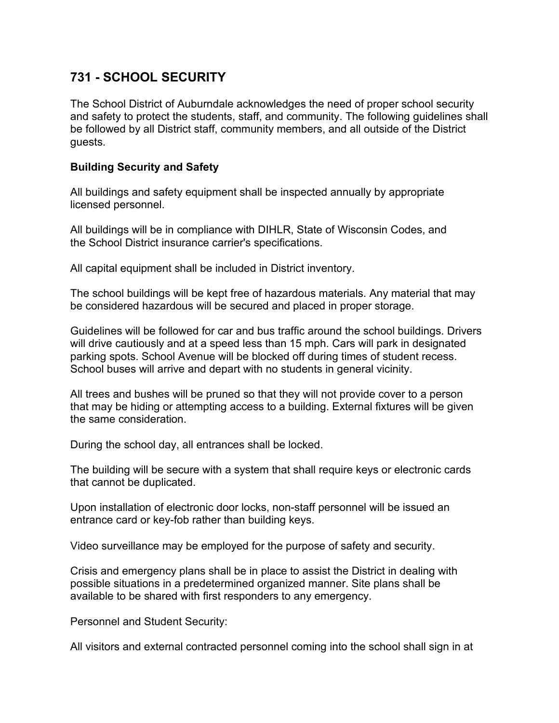## **731 - SCHOOL SECURITY**

The School District of Auburndale acknowledges the need of proper school security and safety to protect the students, staff, and community. The following guidelines shall be followed by all District staff, community members, and all outside of the District guests.

## **Building Security and Safety**

All buildings and safety equipment shall be inspected annually by appropriate licensed personnel.

All buildings will be in compliance with DIHLR, State of Wisconsin Codes, and the School District insurance carrier's specifications.

All capital equipment shall be included in District inventory.

The school buildings will be kept free of hazardous materials. Any material that may be considered hazardous will be secured and placed in proper storage.

Guidelines will be followed for car and bus traffic around the school buildings. Drivers will drive cautiously and at a speed less than 15 mph. Cars will park in designated parking spots. School Avenue will be blocked off during times of student recess. School buses will arrive and depart with no students in general vicinity.

All trees and bushes will be pruned so that they will not provide cover to a person that may be hiding or attempting access to a building. External fixtures will be given the same consideration.

During the school day, all entrances shall be locked.

The building will be secure with a system that shall require keys or electronic cards that cannot be duplicated.

Upon installation of electronic door locks, non-staff personnel will be issued an entrance card or key-fob rather than building keys.

Video surveillance may be employed for the purpose of safety and security.

Crisis and emergency plans shall be in place to assist the District in dealing with possible situations in a predetermined organized manner. Site plans shall be available to be shared with first responders to any emergency.

Personnel and Student Security:

All visitors and external contracted personnel coming into the school shall sign in at